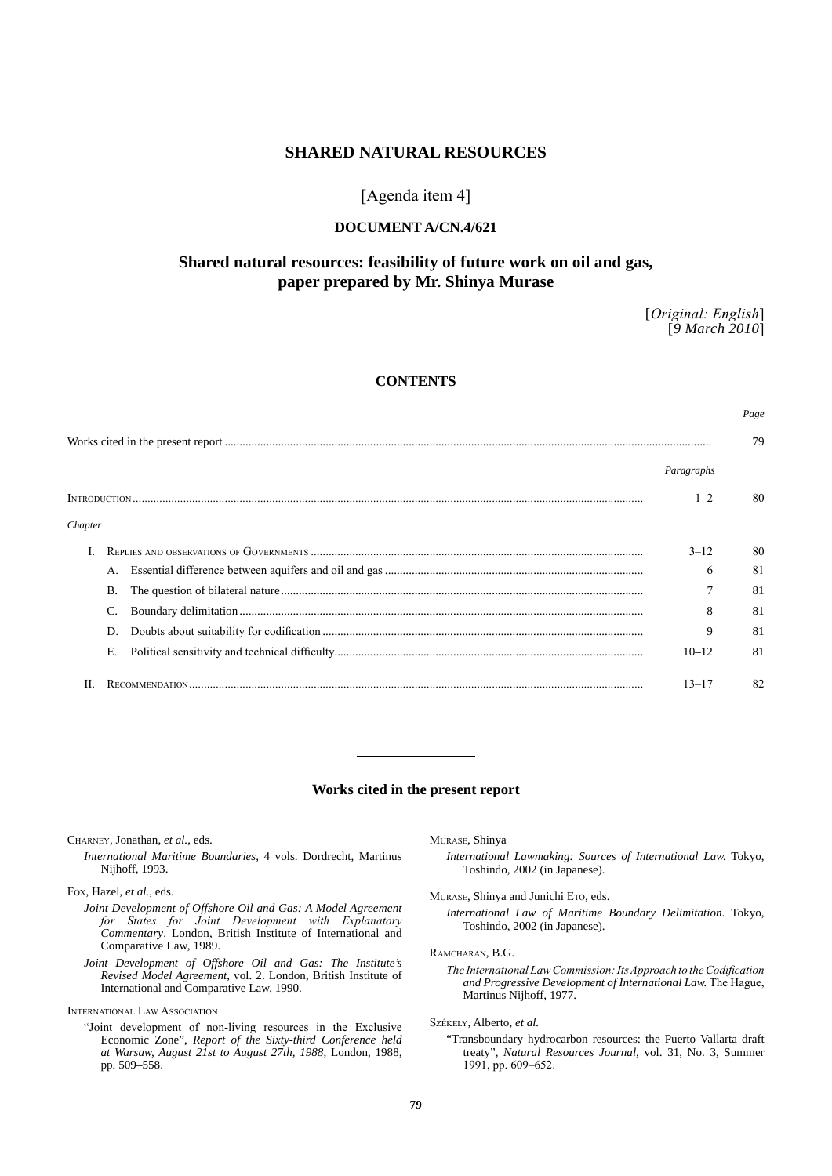# **SHARED NATURAL RESOURCES**

# [Agenda item 4]

## **DOCUMENT A/CN.4/621**

# **Shared natural resources: feasibility of future work on oil and gas, paper prepared by Mr. Shinya Murase**

[*Original: English*] [*9 March 2010*]

*Page*

# **CONTENTS**

|         |    | Paragraphs |     |
|---------|----|------------|-----|
|         |    | $1 - 2$    | 80  |
| Chapter |    |            |     |
|         |    | $3 - 12$   | -80 |
|         |    | 6          | 81  |
|         | В. |            | 81  |
|         |    |            | 81  |
|         |    | 9          | 81  |
|         | Е. | $10 - 12$  | 81  |
|         |    | $13 - 17$  | 82  |

### **Works cited in the present report**

Charney, Jonathan, *et al.*, eds.

*International Maritime Boundaries*, 4 vols. Dordrecht, Martinus Nijhoff, 1993.

Fox, Hazel, *et al.*, eds.

- *Joint Development of Offshore Oil and Gas: A Model Agreement for States for Joint Development with Explanatory Commentary*. London, British Institute of International and Comparative Law, 1989.
- *Joint Development of Offshore Oil and Gas: The Institute's Revised Model Agreement*, vol. 2. London, British Institute of International and Comparative Law, 1990.

International Law Association

"Joint development of non-living resources in the Exclusive Economic Zone", *Report of the Sixty-third Conference held at Warsaw, August 21st to August 27th, 1988*, London, 1988, pp. 509–558.

Murase, Shinya

*International Lawmaking: Sources of International Law.* Tokyo, Toshindo, 2002 (in Japanese).

MURASE, Shinya and Junichi Eto, eds.

*International Law of Maritime Boundary Delimitation.* Tokyo, Toshindo, 2002 (in Japanese).

RAMCHARAN, B.G.

*The International Law Commission: Its Approach to the Codification and Progressive Development of International Law.* The Hague, Martinus Nijhoff, 1977.

Székely, Alberto, *et al.*

"Transboundary hydrocarbon resources: the Puerto Vallarta draft treaty", *Natural Resources Journal*, vol. 31, No. 3, Summer 1991, pp. 609–652.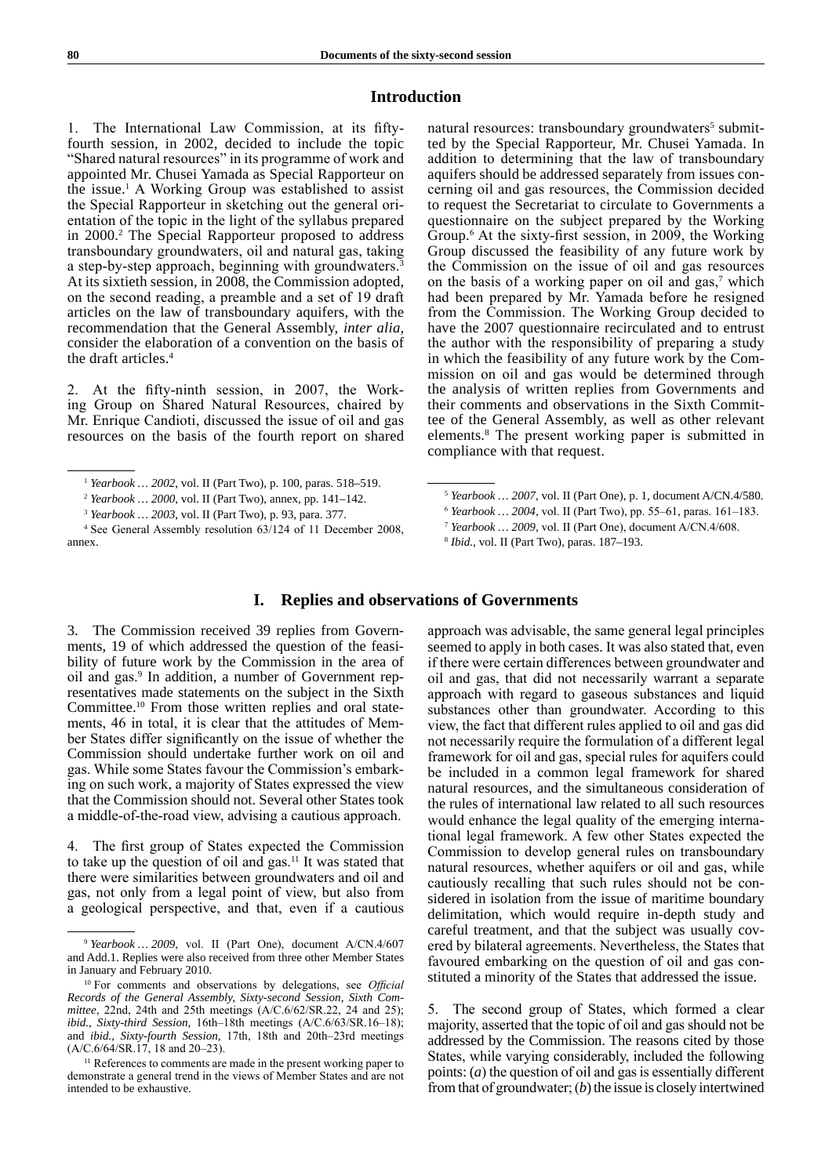## **Introduction**

1. The International Law Commission, at its fiftyfourth session, in 2002, decided to include the topic "Shared natural resources" in its programme of work and appointed Mr. Chusei Yamada as Special Rapporteur on the issue.1 A Working Group was established to assist the Special Rapporteur in sketching out the general orientation of the topic in the light of the syllabus prepared in 2000.2 The Special Rapporteur proposed to address transboundary groundwaters, oil and natural gas, taking a step-by-step approach, beginning with groundwaters.<sup>3</sup> At its sixtieth session, in 2008, the Commission adopted, on the second reading, a preamble and a set of 19 draft articles on the law of transboundary aquifers, with the recommendation that the General Assembly, *inter alia*, consider the elaboration of a convention on the basis of the draft articles.<sup>4</sup>

2. At the fifty-ninth session, in 2007, the Working Group on Shared Natural Resources, chaired by Mr. Enrique Candioti, discussed the issue of oil and gas resources on the basis of the fourth report on shared

natural resources: transboundary groundwaters<sup>5</sup> submitted by the Special Rapporteur, Mr. Chusei Yamada. In addition to determining that the law of transboundary aquifers should be addressed separately from issues concerning oil and gas resources, the Commission decided to request the Secretariat to circulate to Governments a questionnaire on the subject prepared by the Working Group.<sup>6</sup> At the sixty-first session, in 2009, the Working Group discussed the feasibility of any future work by the Commission on the issue of oil and gas resources on the basis of a working paper on oil and  $gas$ ,<sup>7</sup> which had been prepared by Mr. Yamada before he resigned from the Commission. The Working Group decided to have the 2007 questionnaire recirculated and to entrust the author with the responsibility of preparing a study in which the feasibility of any future work by the Commission on oil and gas would be determined through the analysis of written replies from Governments and their comments and observations in the Sixth Committee of the General Assembly, as well as other relevant elements.8 The present working paper is submitted in compliance with that request.

### **I. Replies and observations of Governments**

3. The Commission received 39 replies from Governments, 19 of which addressed the question of the feasibility of future work by the Commission in the area of oil and gas.<sup>9</sup> In addition, a number of Government representatives made statements on the subject in the Sixth Committee.10 From those written replies and oral statements, 46 in total, it is clear that the attitudes of Member States differ significantly on the issue of whether the Commission should undertake further work on oil and gas. While some States favour the Commission's embarking on such work, a majority of States expressed the view that the Commission should not. Several other States took a middle-of-the-road view, advising a cautious approach.

4. The first group of States expected the Commission to take up the question of oil and gas.<sup>11</sup> It was stated that there were similarities between groundwaters and oil and gas, not only from a legal point of view, but also from a geological perspective, and that, even if a cautious approach was advisable, the same general legal principles seemed to apply in both cases. It was also stated that, even if there were certain differences between groundwater and oil and gas, that did not necessarily warrant a separate approach with regard to gaseous substances and liquid substances other than groundwater. According to this view, the fact that different rules applied to oil and gas did not necessarily require the formulation of a different legal framework for oil and gas, special rules for aquifers could be included in a common legal framework for shared natural resources, and the simultaneous consideration of the rules of international law related to all such resources would enhance the legal quality of the emerging international legal framework. A few other States expected the Commission to develop general rules on transboundary natural resources, whether aquifers or oil and gas, while cautiously recalling that such rules should not be considered in isolation from the issue of maritime boundary delimitation, which would require in-depth study and careful treatment, and that the subject was usually covered by bilateral agreements. Nevertheless, the States that favoured embarking on the question of oil and gas constituted a minority of the States that addressed the issue.

5. The second group of States, which formed a clear majority, asserted that the topic of oil and gas should not be addressed by the Commission. The reasons cited by those States, while varying considerably, included the following points: (*a*) the question of oil and gas is essentially different from that of groundwater; (b) the issue is closely intertwined

<sup>1</sup> *Yearbook … 2002*, vol. II (Part Two), p. 100, paras. 518–519.

<sup>2</sup> *Yearbook … 2000*, vol. II (Part Two), annex, pp. 141–142.

<sup>3</sup> *Yearbook … 2003*, vol. II (Part Two), p. 93, para. 377.

<sup>4</sup> See General Assembly resolution 63/124 of 11 December 2008, annex.

<sup>5</sup> *Yearbook … 2007*, vol. II (Part One), p. 1, document A/CN.4/580.

<sup>6</sup> *Yearbook … 2004*, vol. II (Part Two), pp. 55–61, paras. 161–183.

<sup>7</sup> *Yearbook … 2009*, vol. II (Part One), document A/CN.4/608.

<sup>8</sup> *Ibid.*, vol. II (Part Two), paras. 187–193.

<sup>9</sup> *Yearbook … 2009*, vol. II (Part One), document A/CN.4/607 and Add.1. Replies were also received from three other Member States in January and February 2010.

<sup>10</sup> For comments and observations by delegations, see *Official Records of the General Assembly, Sixty-second Session, Sixth Committee*, 22nd, 24th and 25th meetings (A/C.6/62/SR.22, 24 and 25); *ibid., Sixty-third Session,* 16th–18th meetings (A/C.6/63/SR.16–18); and *ibid., Sixty-fourth Session,* 17th, 18th and 20th–23rd meetings (A/C.6/64/SR.17, 18 and 20–23).

<sup>&</sup>lt;sup>11</sup> References to comments are made in the present working paper to demonstrate a general trend in the views of Member States and are not intended to be exhaustive.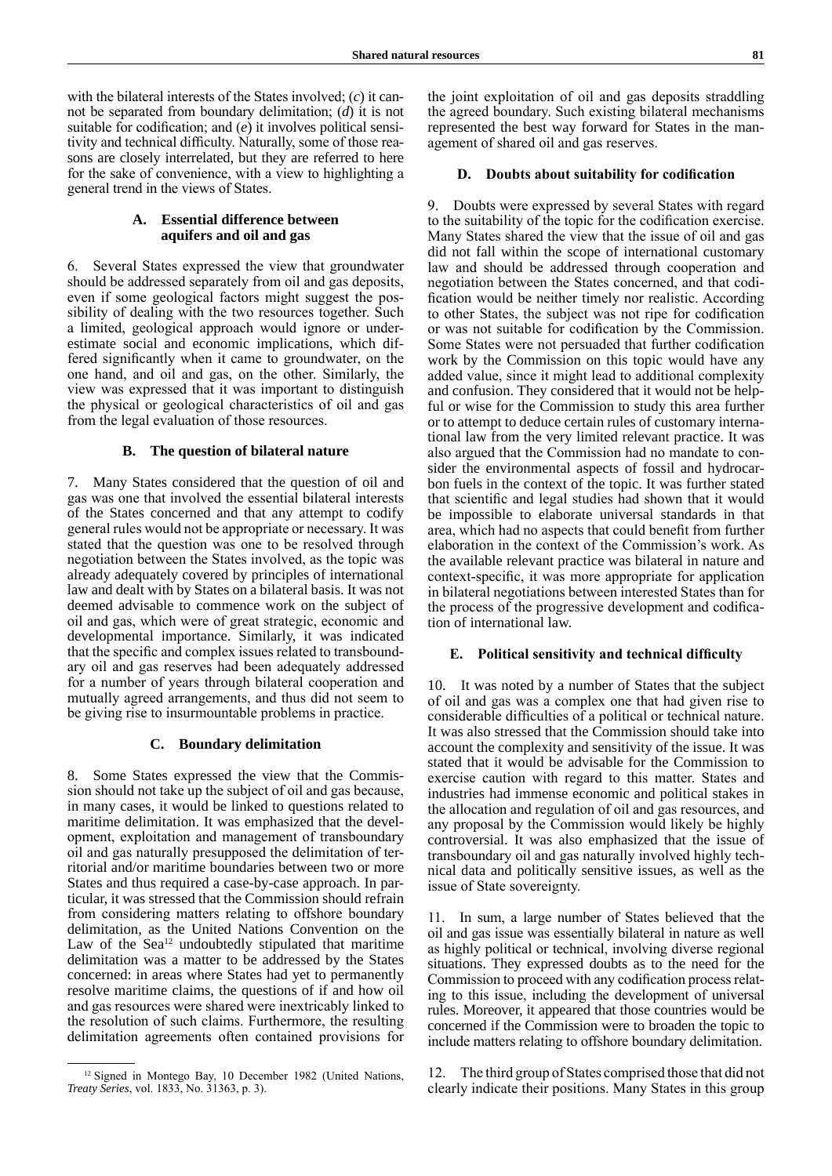with the bilateral interests of the States involved; (*c*) it cannot be separated from boundary delimitation; (*d*) it is not suitable for codification; and (*e*) it involves political sensitivity and technical difficulty. Naturally, some of those reasons are closely interrelated, but they are referred to here for the sake of convenience, with a view to highlighting a general trend in the views of States.

## **A. Essential difference between aquifers and oil and gas**

6. Several States expressed the view that groundwater should be addressed separately from oil and gas deposits, even if some geological factors might suggest the possibility of dealing with the two resources together. Such a limited, geological approach would ignore or underestimate social and economic implications, which differed significantly when it came to groundwater, on the one hand, and oil and gas, on the other. Similarly, the view was expressed that it was important to distinguish the physical or geological characteristics of oil and gas from the legal evaluation of those resources.

#### **B. The question of bilateral nature**

7. Many States considered that the question of oil and gas was one that involved the essential bilateral interests of the States concerned and that any attempt to codify general rules would not be appropriate or necessary. It was stated that the question was one to be resolved through negotiation between the States involved, as the topic was already adequately covered by principles of international law and dealt with by States on a bilateral basis. It was not deemed advisable to commence work on the subject of oil and gas, which were of great strategic, economic and developmental importance. Similarly, it was indicated that the specific and complex issues related to transboundary oil and gas reserves had been adequately addressed for a number of years through bilateral cooperation and mutually agreed arrangements, and thus did not seem to be giving rise to insurmountable problems in practice.

#### **C. Boundary delimitation**

8. Some States expressed the view that the Commission should not take up the subject of oil and gas because, in many cases, it would be linked to questions related to maritime delimitation. It was emphasized that the development, exploitation and management of transboundary oil and gas naturally presupposed the delimitation of territorial and/or maritime boundaries between two or more States and thus required a case-by-case approach. In particular, it was stressed that the Commission should refrain from considering matters relating to offshore boundary delimitation, as the United Nations Convention on the Law of the Sea<sup>12</sup> undoubtedly stipulated that maritime delimitation was a matter to be addressed by the States concerned: in areas where States had yet to permanently resolve maritime claims, the questions of if and how oil and gas resources were shared were inextricably linked to the resolution of such claims. Furthermore, the resulting delimitation agreements often contained provisions for the joint exploitation of oil and gas deposits straddling the agreed boundary. Such existing bilateral mechanisms represented the best way forward for States in the management of shared oil and gas reserves.

#### **D. Doubts about suitability for codification**

9. Doubts were expressed by several States with regard to the suitability of the topic for the codification exercise. Many States shared the view that the issue of oil and gas did not fall within the scope of international customary law and should be addressed through cooperation and negotiation between the States concerned, and that codification would be neither timely nor realistic. According to other States, the subject was not ripe for codification or was not suitable for codification by the Commission. Some States were not persuaded that further codification work by the Commission on this topic would have any added value, since it might lead to additional complexity and confusion. They considered that it would not be helpful or wise for the Commission to study this area further or to attempt to deduce certain rules of customary international law from the very limited relevant practice. It was also argued that the Commission had no mandate to consider the environmental aspects of fossil and hydrocarbon fuels in the context of the topic. It was further stated that scientific and legal studies had shown that it would be impossible to elaborate universal standards in that area, which had no aspects that could benefit from further elaboration in the context of the Commission's work. As the available relevant practice was bilateral in nature and context-specific, it was more appropriate for application in bilateral negotiations between interested States than for the process of the progressive development and codification of international law.

#### **E. Political sensitivity and technical difficulty**

10. It was noted by a number of States that the subject of oil and gas was a complex one that had given rise to considerable difficulties of a political or technical nature. It was also stressed that the Commission should take into account the complexity and sensitivity of the issue. It was stated that it would be advisable for the Commission to exercise caution with regard to this matter. States and industries had immense economic and political stakes in the allocation and regulation of oil and gas resources, and any proposal by the Commission would likely be highly controversial. It was also emphasized that the issue of transboundary oil and gas naturally involved highly technical data and politically sensitive issues, as well as the issue of State sovereignty.

11. In sum, a large number of States believed that the oil and gas issue was essentially bilateral in nature as well as highly political or technical, involving diverse regional situations. They expressed doubts as to the need for the Commission to proceed with any codification process relating to this issue, including the development of universal rules. Moreover, it appeared that those countries would be concerned if the Commission were to broaden the topic to include matters relating to offshore boundary delimitation.

12. The third group of States comprised those that did not clearly indicate their positions. Many States in this group

<sup>12</sup> Signed in Montego Bay, 10 December 1982 (United Nations, *Treaty Series*, vol. 1833, No. 31363, p. 3).